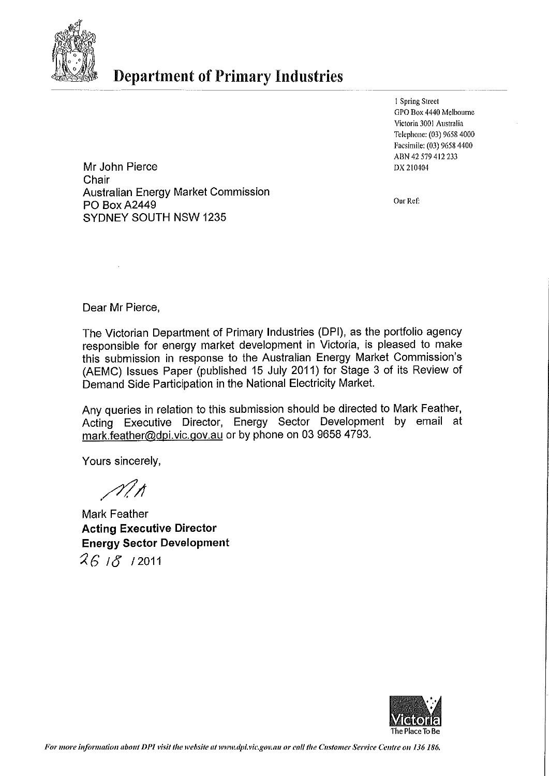

# **Department of Primary Industries**

1 Spring Street GPO Box 4440 Melbourne Victoria 3001 Australia Telephone: (03) 9658 4000 Facsimile: (03) 9658 4400 ABN 42 579 412 233 DX 210404

Mr John Pierce Chair **Australian Energy Market Commission PO Box A2449** SYDNEY SOUTH NSW 1235

Our Ref:

Dear Mr Pierce,

The Victorian Department of Primary Industries (DPI), as the portfolio agency responsible for energy market development in Victoria, is pleased to make this submission in response to the Australian Energy Market Commission's (AEMC) Issues Paper (published 15 July 2011) for Stage 3 of its Review of Demand Side Participation in the National Electricity Market.

Any queries in relation to this submission should be directed to Mark Feather, Acting Executive Director, Energy Sector Development by email at mark.feather@dpi.vic.gov.au or by phone on 03 9658 4793.

Yours sincerely,

 $\mathscr{N}$ 

**Mark Feather Acting Executive Director Energy Sector Development**  $261812011$ 

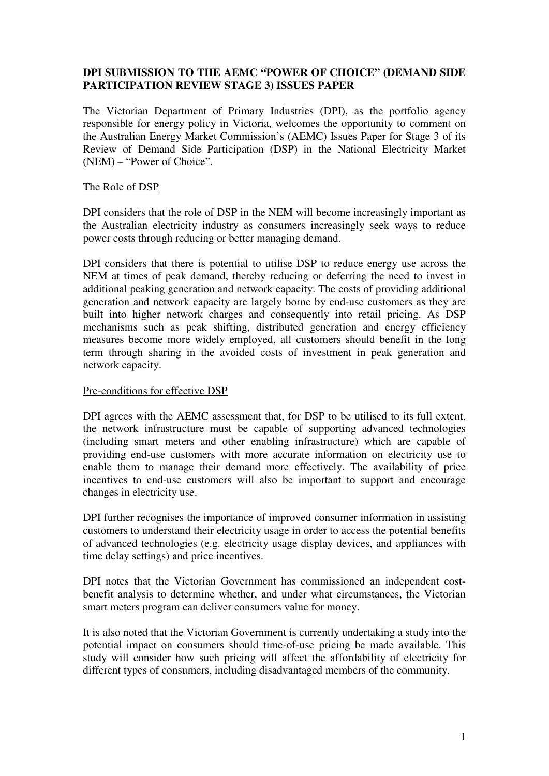## **DPI SUBMISSION TO THE AEMC "POWER OF CHOICE" (DEMAND SIDE PARTICIPATION REVIEW STAGE 3) ISSUES PAPER**

The Victorian Department of Primary Industries (DPI), as the portfolio agency responsible for energy policy in Victoria, welcomes the opportunity to comment on the Australian Energy Market Commission's (AEMC) Issues Paper for Stage 3 of its Review of Demand Side Participation (DSP) in the National Electricity Market (NEM) – "Power of Choice".

### The Role of DSP

DPI considers that the role of DSP in the NEM will become increasingly important as the Australian electricity industry as consumers increasingly seek ways to reduce power costs through reducing or better managing demand.

DPI considers that there is potential to utilise DSP to reduce energy use across the NEM at times of peak demand, thereby reducing or deferring the need to invest in additional peaking generation and network capacity. The costs of providing additional generation and network capacity are largely borne by end-use customers as they are built into higher network charges and consequently into retail pricing. As DSP mechanisms such as peak shifting, distributed generation and energy efficiency measures become more widely employed, all customers should benefit in the long term through sharing in the avoided costs of investment in peak generation and network capacity.

### Pre-conditions for effective DSP

DPI agrees with the AEMC assessment that, for DSP to be utilised to its full extent, the network infrastructure must be capable of supporting advanced technologies (including smart meters and other enabling infrastructure) which are capable of providing end-use customers with more accurate information on electricity use to enable them to manage their demand more effectively. The availability of price incentives to end-use customers will also be important to support and encourage changes in electricity use.

DPI further recognises the importance of improved consumer information in assisting customers to understand their electricity usage in order to access the potential benefits of advanced technologies (e.g. electricity usage display devices, and appliances with time delay settings) and price incentives.

DPI notes that the Victorian Government has commissioned an independent costbenefit analysis to determine whether, and under what circumstances, the Victorian smart meters program can deliver consumers value for money.

It is also noted that the Victorian Government is currently undertaking a study into the potential impact on consumers should time-of-use pricing be made available. This study will consider how such pricing will affect the affordability of electricity for different types of consumers, including disadvantaged members of the community.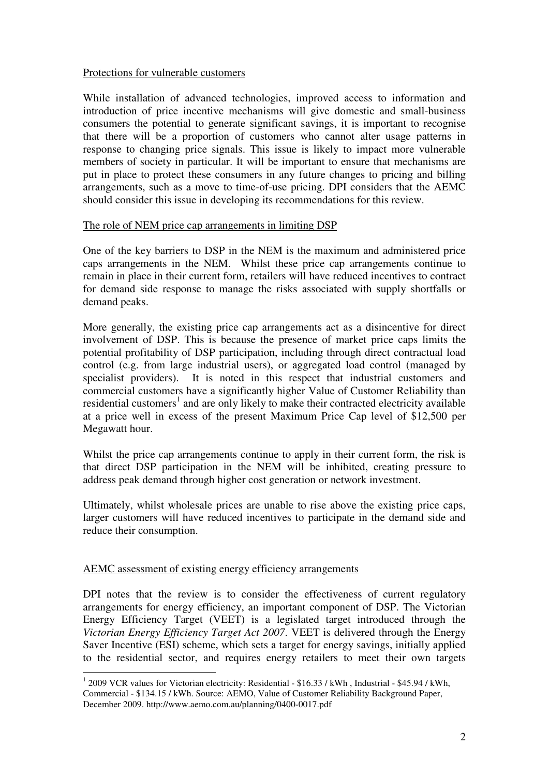### Protections for vulnerable customers

While installation of advanced technologies, improved access to information and introduction of price incentive mechanisms will give domestic and small-business consumers the potential to generate significant savings, it is important to recognise that there will be a proportion of customers who cannot alter usage patterns in response to changing price signals. This issue is likely to impact more vulnerable members of society in particular. It will be important to ensure that mechanisms are put in place to protect these consumers in any future changes to pricing and billing arrangements, such as a move to time-of-use pricing. DPI considers that the AEMC should consider this issue in developing its recommendations for this review.

#### The role of NEM price cap arrangements in limiting DSP

One of the key barriers to DSP in the NEM is the maximum and administered price caps arrangements in the NEM. Whilst these price cap arrangements continue to remain in place in their current form, retailers will have reduced incentives to contract for demand side response to manage the risks associated with supply shortfalls or demand peaks.

More generally, the existing price cap arrangements act as a disincentive for direct involvement of DSP. This is because the presence of market price caps limits the potential profitability of DSP participation, including through direct contractual load control (e.g. from large industrial users), or aggregated load control (managed by specialist providers). It is noted in this respect that industrial customers and commercial customers have a significantly higher Value of Customer Reliability than residential customers<sup>1</sup> and are only likely to make their contracted electricity available at a price well in excess of the present Maximum Price Cap level of \$12,500 per Megawatt hour.

Whilst the price cap arrangements continue to apply in their current form, the risk is that direct DSP participation in the NEM will be inhibited, creating pressure to address peak demand through higher cost generation or network investment.

Ultimately, whilst wholesale prices are unable to rise above the existing price caps, larger customers will have reduced incentives to participate in the demand side and reduce their consumption.

### AEMC assessment of existing energy efficiency arrangements

<u>.</u>

DPI notes that the review is to consider the effectiveness of current regulatory arrangements for energy efficiency, an important component of DSP. The Victorian Energy Efficiency Target (VEET) is a legislated target introduced through the *Victorian Energy Efficiency Target Act 2007*. VEET is delivered through the Energy Saver Incentive (ESI) scheme, which sets a target for energy savings, initially applied to the residential sector, and requires energy retailers to meet their own targets

<sup>&</sup>lt;sup>1</sup> 2009 VCR values for Victorian electricity: Residential - \$16.33 / kWh, Industrial - \$45.94 / kWh, Commercial - \$134.15 / kWh. Source: AEMO, Value of Customer Reliability Background Paper, December 2009. http://www.aemo.com.au/planning/0400-0017.pdf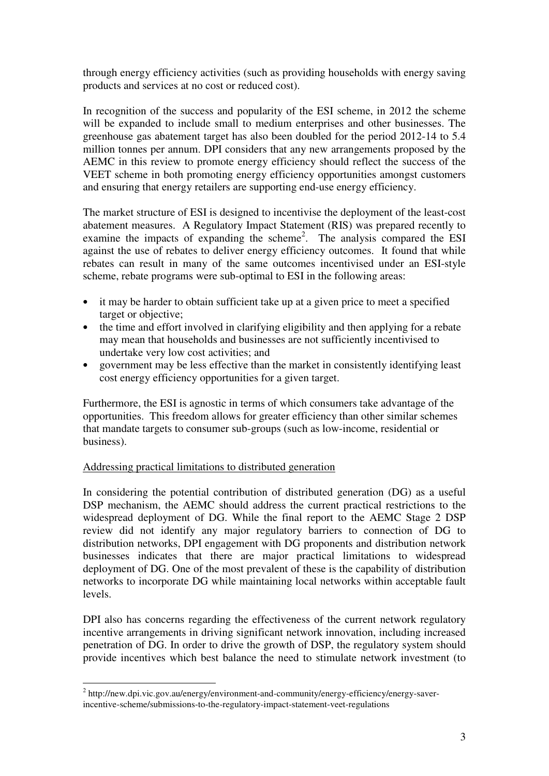through energy efficiency activities (such as providing households with energy saving products and services at no cost or reduced cost).

In recognition of the success and popularity of the ESI scheme, in 2012 the scheme will be expanded to include small to medium enterprises and other businesses. The greenhouse gas abatement target has also been doubled for the period 2012-14 to 5.4 million tonnes per annum. DPI considers that any new arrangements proposed by the AEMC in this review to promote energy efficiency should reflect the success of the VEET scheme in both promoting energy efficiency opportunities amongst customers and ensuring that energy retailers are supporting end-use energy efficiency.

The market structure of ESI is designed to incentivise the deployment of the least-cost abatement measures. A Regulatory Impact Statement (RIS) was prepared recently to examine the impacts of expanding the scheme<sup>2</sup>. The analysis compared the ESI against the use of rebates to deliver energy efficiency outcomes. It found that while rebates can result in many of the same outcomes incentivised under an ESI-style scheme, rebate programs were sub-optimal to ESI in the following areas:

- it may be harder to obtain sufficient take up at a given price to meet a specified target or objective;
- the time and effort involved in clarifying eligibility and then applying for a rebate may mean that households and businesses are not sufficiently incentivised to undertake very low cost activities; and
- government may be less effective than the market in consistently identifying least cost energy efficiency opportunities for a given target.

Furthermore, the ESI is agnostic in terms of which consumers take advantage of the opportunities. This freedom allows for greater efficiency than other similar schemes that mandate targets to consumer sub-groups (such as low-income, residential or business).

## Addressing practical limitations to distributed generation

In considering the potential contribution of distributed generation (DG) as a useful DSP mechanism, the AEMC should address the current practical restrictions to the widespread deployment of DG. While the final report to the AEMC Stage 2 DSP review did not identify any major regulatory barriers to connection of DG to distribution networks, DPI engagement with DG proponents and distribution network businesses indicates that there are major practical limitations to widespread deployment of DG. One of the most prevalent of these is the capability of distribution networks to incorporate DG while maintaining local networks within acceptable fault levels.

DPI also has concerns regarding the effectiveness of the current network regulatory incentive arrangements in driving significant network innovation, including increased penetration of DG. In order to drive the growth of DSP, the regulatory system should provide incentives which best balance the need to stimulate network investment (to

 2 http://new.dpi.vic.gov.au/energy/environment-and-community/energy-efficiency/energy-saverincentive-scheme/submissions-to-the-regulatory-impact-statement-veet-regulations